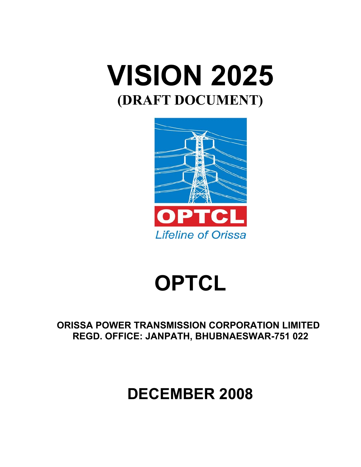



# **OPTCL**

**ORISSA POWER TRANSMISSION CORPORATION LIMITED REGD. OFFICE: JANPATH, BHUBNAESWAR-751 022** 

# **DECEMBER 2008**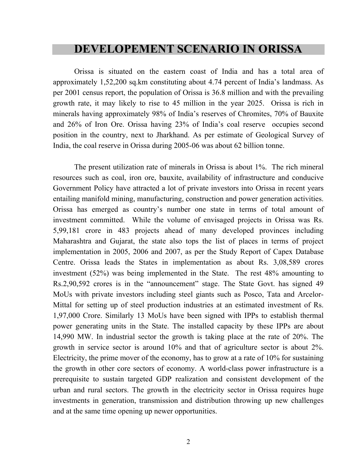#### **DEVELOPEMENT SCENARIO IN ORISSA**

Orissa is situated on the eastern coast of India and has a total area of approximately 1,52,200 sq.km constituting about 4.74 percent of India's landmass. As per 2001 census report, the population of Orissa is 36.8 million and with the prevailing growth rate, it may likely to rise to 45 million in the year 2025. Orissa is rich in minerals having approximately 98% of India's reserves of Chromites, 70% of Bauxite and 26% of Iron Ore. Orissa having 23% of India's coal reserve occupies second position in the country, next to Jharkhand. As per estimate of Geological Survey of India, the coal reserve in Orissa during 2005-06 was about 62 billion tonne.

The present utilization rate of minerals in Orissa is about 1%. The rich mineral resources such as coal, iron ore, bauxite, availability of infrastructure and conducive Government Policy have attracted a lot of private investors into Orissa in recent years entailing manifold mining, manufacturing, construction and power generation activities. Orissa has emerged as country's number one state in terms of total amount of investment committed. While the volume of envisaged projects in Orissa was Rs. 5,99,181 crore in 483 projects ahead of many developed provinces including Maharashtra and Gujarat, the state also tops the list of places in terms of project implementation in 2005, 2006 and 2007, as per the Study Report of Capex Database Centre. Orissa leads the States in implementation as about Rs. 3,08,589 crores investment (52%) was being implemented in the State. The rest 48% amounting to Rs.2,90,592 crores is in the "announcement" stage. The State Govt. has signed 49 MoUs with private investors including steel giants such as Posco, Tata and Arcelor-Mittal for setting up of steel production industries at an estimated investment of Rs. 1,97,000 Crore. Similarly 13 MoUs have been signed with IPPs to establish thermal power generating units in the State. The installed capacity by these IPPs are about 14,990 MW. In industrial sector the growth is taking place at the rate of 20%. The growth in service sector is around 10% and that of agriculture sector is about 2%. Electricity, the prime mover of the economy, has to grow at a rate of 10% for sustaining the growth in other core sectors of economy. A world-class power infrastructure is a prerequisite to sustain targeted GDP realization and consistent development of the urban and rural sectors. The growth in the electricity sector in Orissa requires huge investments in generation, transmission and distribution throwing up new challenges and at the same time opening up newer opportunities.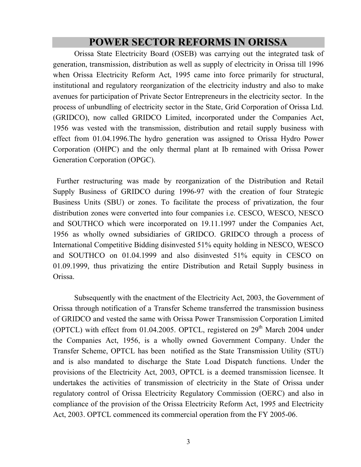#### **POWER SECTOR REFORMS IN ORISSA**

 Orissa State Electricity Board (OSEB) was carrying out the integrated task of generation, transmission, distribution as well as supply of electricity in Orissa till 1996 when Orissa Electricity Reform Act, 1995 came into force primarily for structural, institutional and regulatory reorganization of the electricity industry and also to make avenues for participation of Private Sector Entrepreneurs in the electricity sector. In the process of unbundling of electricity sector in the State, Grid Corporation of Orissa Ltd. (GRIDCO), now called GRIDCO Limited, incorporated under the Companies Act, 1956 was vested with the transmission, distribution and retail supply business with effect from 01.04.1996.The hydro generation was assigned to Orissa Hydro Power Corporation (OHPC) and the only thermal plant at Ib remained with Orissa Power Generation Corporation (OPGC).

 Further restructuring was made by reorganization of the Distribution and Retail Supply Business of GRIDCO during 1996-97 with the creation of four Strategic Business Units (SBU) or zones. To facilitate the process of privatization, the four distribution zones were converted into four companies i.e. CESCO, WESCO, NESCO and SOUTHCO which were incorporated on 19.11.1997 under the Companies Act, 1956 as wholly owned subsidiaries of GRIDCO. GRIDCO through a process of International Competitive Bidding disinvested 51% equity holding in NESCO, WESCO and SOUTHCO on 01.04.1999 and also disinvested 51% equity in CESCO on 01.09.1999, thus privatizing the entire Distribution and Retail Supply business in Orissa.

Subsequently with the enactment of the Electricity Act, 2003, the Government of Orissa through notification of a Transfer Scheme transferred the transmission business of GRIDCO and vested the same with Orissa Power Transmission Corporation Limited (OPTCL) with effect from 01.04.2005. OPTCL, registered on  $29<sup>th</sup>$  March 2004 under the Companies Act, 1956, is a wholly owned Government Company. Under the Transfer Scheme, OPTCL has been notified as the State Transmission Utility (STU) and is also mandated to discharge the State Load Dispatch functions. Under the provisions of the Electricity Act, 2003, OPTCL is a deemed transmission licensee. It undertakes the activities of transmission of electricity in the State of Orissa under regulatory control of Orissa Electricity Regulatory Commission (OERC) and also in compliance of the provision of the Orissa Electricity Reform Act, 1995 and Electricity Act, 2003. OPTCL commenced its commercial operation from the FY 2005-06.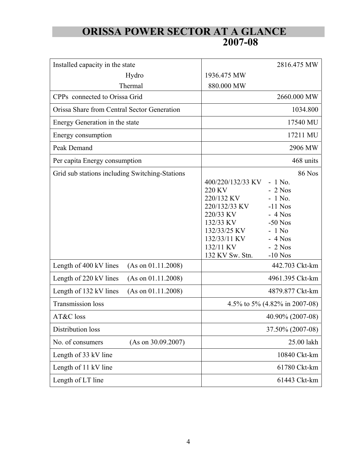## **ORISSA POWER SECTOR AT A GLANCE 2007-08**

| Installed capacity in the state                | 2816.475 MW                                                                                                                                                                                                                                                                                     |  |
|------------------------------------------------|-------------------------------------------------------------------------------------------------------------------------------------------------------------------------------------------------------------------------------------------------------------------------------------------------|--|
| Hydro                                          | 1936.475 MW                                                                                                                                                                                                                                                                                     |  |
| Thermal                                        | 880.000 MW                                                                                                                                                                                                                                                                                      |  |
| CPPs connected to Orissa Grid                  | 2660.000 MW                                                                                                                                                                                                                                                                                     |  |
| Orissa Share from Central Sector Generation    | 1034.800                                                                                                                                                                                                                                                                                        |  |
| Energy Generation in the state                 | 17540 MU                                                                                                                                                                                                                                                                                        |  |
| Energy consumption                             | 17211 MU                                                                                                                                                                                                                                                                                        |  |
| Peak Demand                                    | 2906 MW                                                                                                                                                                                                                                                                                         |  |
| Per capita Energy consumption                  | 468 units                                                                                                                                                                                                                                                                                       |  |
| Grid sub stations including Switching-Stations | <b>86 Nos</b><br>$-1$ No.<br>400/220/132/33 KV<br>220 KV<br>$-2$ Nos<br>220/132 KV<br>$-1$ No.<br>220/132/33 KV<br>$-11$ Nos<br>220/33 KV<br>$-4$ Nos<br>132/33 KV<br>$-50$ Nos<br>132/33/25 KV<br>$-1$ No<br>132/33/11 KV<br>$-4$ Nos<br>132/11 KV<br>$-2$ Nos<br>132 KV Sw. Stn.<br>$-10$ Nos |  |
| Length of 400 kV lines<br>(As on 01.11.2008)   | 442.703 Ckt-km                                                                                                                                                                                                                                                                                  |  |
| Length of 220 kV lines<br>(As on 01.11.2008)   | 4961.395 Ckt-km                                                                                                                                                                                                                                                                                 |  |
| Length of 132 kV lines<br>(As on 01.11.2008)   | 4879.877 Ckt-km                                                                                                                                                                                                                                                                                 |  |
| <b>Transmission loss</b>                       | 4.5% to 5% (4.82% in 2007-08)                                                                                                                                                                                                                                                                   |  |
| AT&C loss                                      | 40.90% (2007-08)                                                                                                                                                                                                                                                                                |  |
| Distribution loss                              | 37.50% (2007-08)                                                                                                                                                                                                                                                                                |  |
| No. of consumers<br>(As on 30.09.2007)         | 25.00 lakh                                                                                                                                                                                                                                                                                      |  |
| Length of 33 kV line                           | 10840 Ckt-km                                                                                                                                                                                                                                                                                    |  |
| Length of 11 kV line                           | 61780 Ckt-km                                                                                                                                                                                                                                                                                    |  |
| Length of LT line                              | 61443 Ckt-km                                                                                                                                                                                                                                                                                    |  |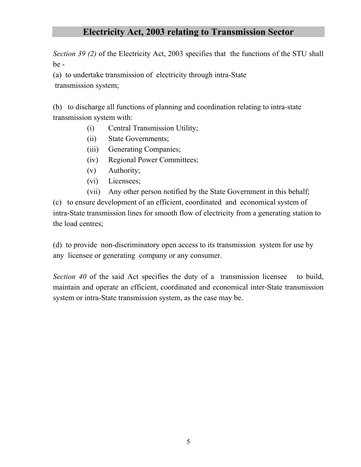#### **Electricity Act, 2003 relating to Transmission Sector**

*Section 39 (2)* of the Electricity Act, 2003 specifies that the functions of the STU shall be -

(a) to undertake transmission of electricity through intra-State transmission system;

(b) to discharge all functions of planning and coordination relating to intra-state transmission system with:

- (i) Central Transmission Utility;
- (ii) State Governments;
- (iii) Generating Companies;
- (iv) Regional Power Committees;
- (v) Authority;
- (vi) Licensees;
- (vii) Any other person notified by the State Government in this behalf;

(c) to ensure development of an efficient, coordinated and economical system of intra-State transmission lines for smooth flow of electricity from a generating station to the load centres;

(d) to provide non-discriminatory open access to its transmission system for use by any licensee or generating company or any consumer.

*Section 40* of the said Act specifies the duty of a transmission licensee to build, maintain and operate an efficient, coordinated and economical inter-State transmission system or intra-State transmission system, as the case may be.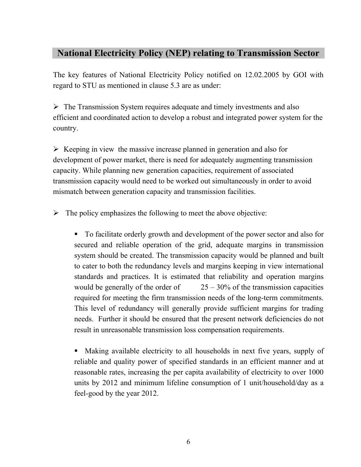#### **National Electricity Policy (NEP) relating to Transmission Sector**

The key features of National Electricity Policy notified on 12.02.2005 by GOI with regard to STU as mentioned in clause 5.3 are as under:

 $\triangleright$  The Transmission System requires adequate and timely investments and also efficient and coordinated action to develop a robust and integrated power system for the country.

 $\triangleright$  Keeping in view the massive increase planned in generation and also for development of power market, there is need for adequately augmenting transmission capacity. While planning new generation capacities, requirement of associated transmission capacity would need to be worked out simultaneously in order to avoid mismatch between generation capacity and transmission facilities.

 $\triangleright$  The policy emphasizes the following to meet the above objective:

 To facilitate orderly growth and development of the power sector and also for secured and reliable operation of the grid, adequate margins in transmission system should be created. The transmission capacity would be planned and built to cater to both the redundancy levels and margins keeping in view international standards and practices. It is estimated that reliability and operation margins would be generally of the order of  $25 - 30\%$  of the transmission capacities required for meeting the firm transmission needs of the long-term commitments. This level of redundancy will generally provide sufficient margins for trading needs. Further it should be ensured that the present network deficiencies do not result in unreasonable transmission loss compensation requirements.

 Making available electricity to all households in next five years, supply of reliable and quality power of specified standards in an efficient manner and at reasonable rates, increasing the per capita availability of electricity to over 1000 units by 2012 and minimum lifeline consumption of 1 unit/household/day as a feel-good by the year 2012.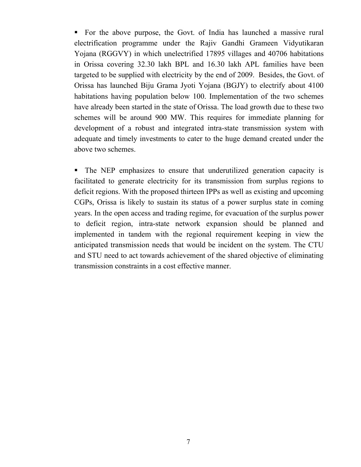For the above purpose, the Govt. of India has launched a massive rural electrification programme under the Rajiv Gandhi Grameen Vidyutikaran Yojana (RGGVY) in which unelectrified 17895 villages and 40706 habitations in Orissa covering 32.30 lakh BPL and 16.30 lakh APL families have been targeted to be supplied with electricity by the end of 2009. Besides, the Govt. of Orissa has launched Biju Grama Jyoti Yojana (BGJY) to electrify about 4100 habitations having population below 100. Implementation of the two schemes have already been started in the state of Orissa. The load growth due to these two schemes will be around 900 MW. This requires for immediate planning for development of a robust and integrated intra-state transmission system with adequate and timely investments to cater to the huge demand created under the above two schemes.

• The NEP emphasizes to ensure that underutilized generation capacity is facilitated to generate electricity for its transmission from surplus regions to deficit regions. With the proposed thirteen IPPs as well as existing and upcoming CGPs, Orissa is likely to sustain its status of a power surplus state in coming years. In the open access and trading regime, for evacuation of the surplus power to deficit region, intra-state network expansion should be planned and implemented in tandem with the regional requirement keeping in view the anticipated transmission needs that would be incident on the system. The CTU and STU need to act towards achievement of the shared objective of eliminating transmission constraints in a cost effective manner.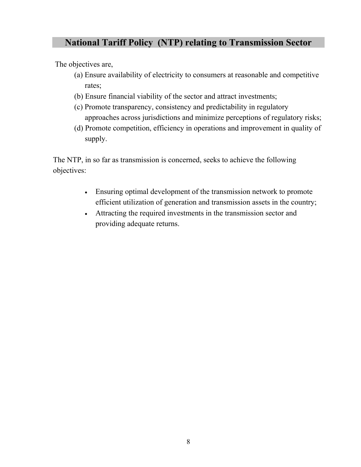#### **National Tariff Policy (NTP) relating to Transmission Sector**

The objectives are,

- (a) Ensure availability of electricity to consumers at reasonable and competitive rates;
- (b) Ensure financial viability of the sector and attract investments;
- (c) Promote transparency, consistency and predictability in regulatory approaches across jurisdictions and minimize perceptions of regulatory risks;
- (d) Promote competition, efficiency in operations and improvement in quality of supply.

The NTP, in so far as transmission is concerned, seeks to achieve the following objectives:

- Ensuring optimal development of the transmission network to promote efficient utilization of generation and transmission assets in the country;
- Attracting the required investments in the transmission sector and providing adequate returns.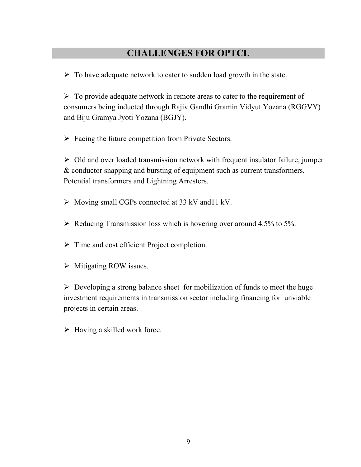#### **CHALLENGES FOR OPTCL**

 $\triangleright$  To have adequate network to cater to sudden load growth in the state.

 $\triangleright$  To provide adequate network in remote areas to cater to the requirement of consumers being inducted through Rajiv Gandhi Gramin Vidyut Yozana (RGGVY) and Biju Gramya Jyoti Yozana (BGJY).

 $\triangleright$  Facing the future competition from Private Sectors.

 $\triangleright$  Old and over loaded transmission network with frequent insulator failure, jumper & conductor snapping and bursting of equipment such as current transformers, Potential transformers and Lightning Arresters.

- $\triangleright$  Moving small CGPs connected at 33 kV and 11 kV.
- $\triangleright$  Reducing Transmission loss which is hovering over around 4.5% to 5%.
- $\triangleright$  Time and cost efficient Project completion.
- $\triangleright$  Mitigating ROW issues.

 $\triangleright$  Developing a strong balance sheet for mobilization of funds to meet the huge investment requirements in transmission sector including financing for unviable projects in certain areas.

 $\triangleright$  Having a skilled work force.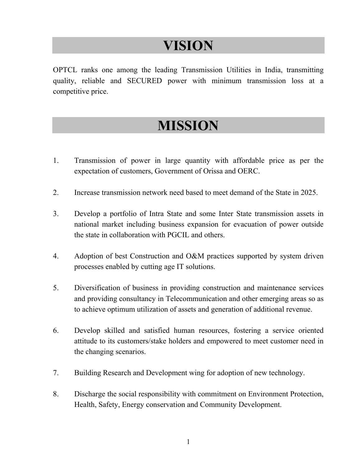# **VISION**

OPTCL ranks one among the leading Transmission Utilities in India, transmitting quality, reliable and SECURED power with minimum transmission loss at a competitive price.

# **MISSION**

- 1. Transmission of power in large quantity with affordable price as per the expectation of customers, Government of Orissa and OERC.
- 2. Increase transmission network need based to meet demand of the State in 2025.
- 3. Develop a portfolio of Intra State and some Inter State transmission assets in national market including business expansion for evacuation of power outside the state in collaboration with PGCIL and others.
- 4. Adoption of best Construction and O&M practices supported by system driven processes enabled by cutting age IT solutions.
- 5. Diversification of business in providing construction and maintenance services and providing consultancy in Telecommunication and other emerging areas so as to achieve optimum utilization of assets and generation of additional revenue.
- 6. Develop skilled and satisfied human resources, fostering a service oriented attitude to its customers/stake holders and empowered to meet customer need in the changing scenarios.
- 7. Building Research and Development wing for adoption of new technology.
- 8. Discharge the social responsibility with commitment on Environment Protection, Health, Safety, Energy conservation and Community Development.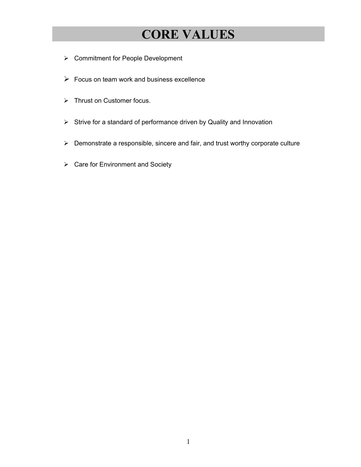# **CORE VALUES**

- Commitment for People Development
- $\triangleright$  Focus on team work and business excellence
- Thrust on Customer focus.
- Strive for a standard of performance driven by Quality and Innovation
- Demonstrate a responsible, sincere and fair, and trust worthy corporate culture
- $\triangleright$  Care for Environment and Society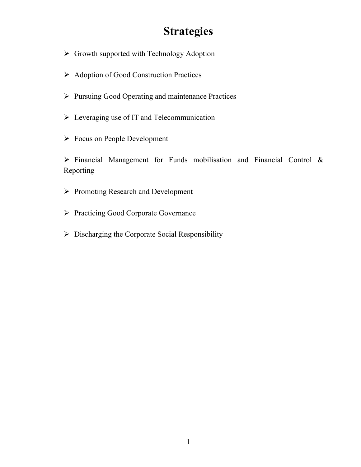## **Strategies**

- $\triangleright$  Growth supported with Technology Adoption
- ¾ Adoption of Good Construction Practices
- ¾ Pursuing Good Operating and maintenance Practices
- $\triangleright$  Leveraging use of IT and Telecommunication
- $\triangleright$  Focus on People Development

 $\triangleright$  Financial Management for Funds mobilisation and Financial Control & Reporting

- $\triangleright$  Promoting Research and Development
- ¾ Practicing Good Corporate Governance
- $\triangleright$  Discharging the Corporate Social Responsibility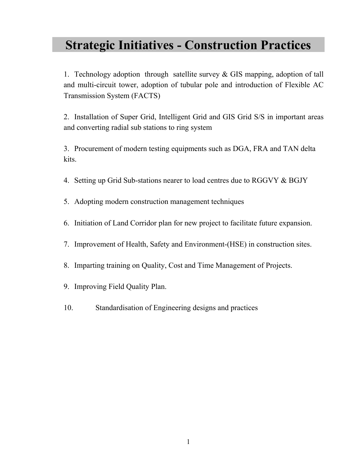## **Strategic Initiatives - Construction Practices**

1. Technology adoption through satellite survey & GIS mapping, adoption of tall and multi-circuit tower, adoption of tubular pole and introduction of Flexible AC Transmission System (FACTS)

2. Installation of Super Grid, Intelligent Grid and GIS Grid S/S in important areas and converting radial sub stations to ring system

3. Procurement of modern testing equipments such as DGA, FRA and TAN delta kits.

- 4. Setting up Grid Sub-stations nearer to load centres due to RGGVY & BGJY
- 5. Adopting modern construction management techniques
- 6. Initiation of Land Corridor plan for new project to facilitate future expansion.
- 7. Improvement of Health, Safety and Environment-(HSE) in construction sites.
- 8. Imparting training on Quality, Cost and Time Management of Projects.
- 9. Improving Field Quality Plan.
- 10. Standardisation of Engineering designs and practices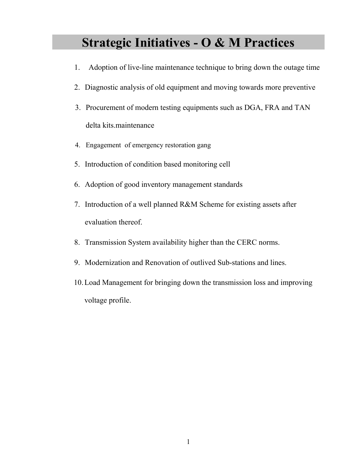## **Strategic Initiatives - O & M Practices**

- 1. Adoption of live-line maintenance technique to bring down the outage time
- 2. Diagnostic analysis of old equipment and moving towards more preventive
- 3. Procurement of modern testing equipments such as DGA, FRA and TAN delta kits.maintenance
- 4. Engagement of emergency restoration gang
- 5. Introduction of condition based monitoring cell
- 6. Adoption of good inventory management standards
- 7. Introduction of a well planned R&M Scheme for existing assets after evaluation thereof.
- 8. Transmission System availability higher than the CERC norms.
- 9. Modernization and Renovation of outlived Sub-stations and lines.
- 10.Load Management for bringing down the transmission loss and improving voltage profile.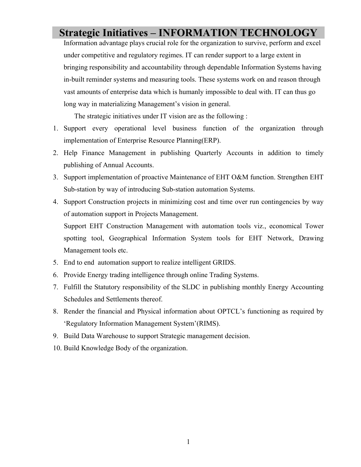## **Strategic Initiatives – INFORMATION TECHNOLOGY**

Information advantage plays crucial role for the organization to survive, perform and excel under competitive and regulatory regimes. IT can render support to a large extent in bringing responsibility and accountability through dependable Information Systems having in-built reminder systems and measuring tools. These systems work on and reason through vast amounts of enterprise data which is humanly impossible to deal with. IT can thus go long way in materializing Management's vision in general.

The strategic initiatives under IT vision are as the following :

- 1. Support every operational level business function of the organization through implementation of Enterprise Resource Planning(ERP).
- 2. Help Finance Management in publishing Quarterly Accounts in addition to timely publishing of Annual Accounts.
- 3. Support implementation of proactive Maintenance of EHT O&M function. Strengthen EHT Sub-station by way of introducing Sub-station automation Systems.
- 4. Support Construction projects in minimizing cost and time over run contingencies by way of automation support in Projects Management.

Support EHT Construction Management with automation tools viz., economical Tower spotting tool, Geographical Information System tools for EHT Network, Drawing Management tools etc.

- 5. End to end automation support to realize intelligent GRIDS.
- 6. Provide Energy trading intelligence through online Trading Systems.
- 7. Fulfill the Statutory responsibility of the SLDC in publishing monthly Energy Accounting Schedules and Settlements thereof.
- 8. Render the financial and Physical information about OPTCL's functioning as required by 'Regulatory Information Management System'(RIMS).
- 9. Build Data Warehouse to support Strategic management decision.
- 10. Build Knowledge Body of the organization.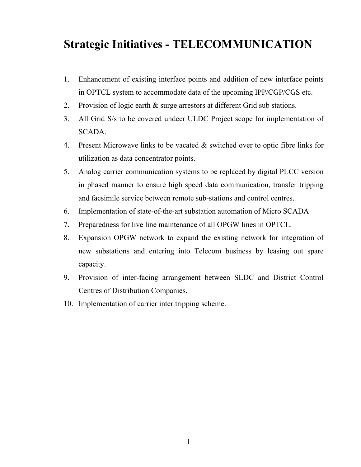## **Strategic Initiatives - TELECOMMUNICATION**

- 1. Enhancement of existing interface points and addition of new interface points in OPTCL system to accommodate data of the upcoming IPP/CGP/CGS etc.
- 2. Provision of logic earth & surge arrestors at different Grid sub stations.
- 3. All Grid S/s to be covered undeer ULDC Project scope for implementation of SCADA.
- 4. Present Microwave links to be vacated & switched over to optic fibre links for utilization as data concentrator points.
- 5. Analog carrier communication systems to be replaced by digital PLCC version in phased manner to ensure high speed data communication, transfer tripping and facsimile service between remote sub-stations and control centres.
- 6. Implementation of state-of-the-art substation automation of Micro SCADA
- 7. Preparedness for live line maintenance of all OPGW lines in OPTCL.
- 8. Expansion OPGW network to expand the existing network for integration of new substations and entering into Telecom business by leasing out spare capacity.
- 9. Provision of inter-facing arrangement between SLDC and District Control Centres of Distribution Companies.
- 10. Implementation of carrier inter tripping scheme.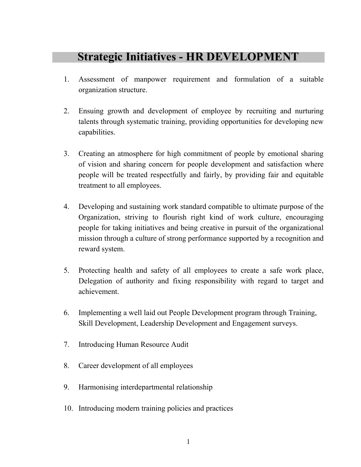## **Strategic Initiatives - HR DEVELOPMENT**

- 1. Assessment of manpower requirement and formulation of a suitable organization structure.
- 2. Ensuing growth and development of employee by recruiting and nurturing talents through systematic training, providing opportunities for developing new capabilities.
- 3. Creating an atmosphere for high commitment of people by emotional sharing of vision and sharing concern for people development and satisfaction where people will be treated respectfully and fairly, by providing fair and equitable treatment to all employees.
- 4. Developing and sustaining work standard compatible to ultimate purpose of the Organization, striving to flourish right kind of work culture, encouraging people for taking initiatives and being creative in pursuit of the organizational mission through a culture of strong performance supported by a recognition and reward system.
- 5. Protecting health and safety of all employees to create a safe work place, Delegation of authority and fixing responsibility with regard to target and achievement.
- 6. Implementing a well laid out People Development program through Training, Skill Development, Leadership Development and Engagement surveys.
- 7. Introducing Human Resource Audit
- 8. Career development of all employees
- 9. Harmonising interdepartmental relationship
- 10. Introducing modern training policies and practices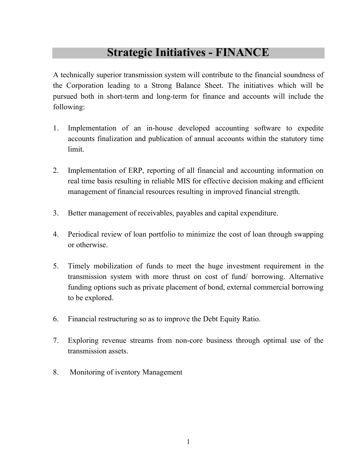## **Strategic Initiatives - FINANCE**

A technically superior transmission system will contribute to the financial soundness of the Corporation leading to a Strong Balance Sheet. The initiatives which will be pursued both in short-term and long-term for finance and accounts will include the following:

- 1. Implementation of an in-house developed accounting software to expedite accounts finalization and publication of annual accounts within the statutory time limit.
- 2. Implementation of ERP, reporting of all financial and accounting information on real time basis resulting in reliable MIS for effective decision making and efficient management of financial resources resulting in improved financial strength.
- 3. Better management of receivables, payables and capital expenditure.
- 4. Periodical review of loan portfolio to minimize the cost of loan through swapping or otherwise.
- 5. Timely mobilization of funds to meet the huge investment requirement in the transmission system with more thrust on cost of fund/ borrowing. Alternative funding options such as private placement of bond, external commercial borrowing to be explored.
- 6. Financial restructuring so as to improve the Debt Equity Ratio.
- 7. Exploring revenue streams from non-core business through optimal use of the transmission assets.
- 8. Monitoring of iventory Management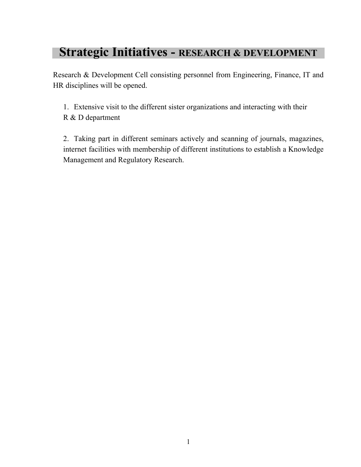## **Strategic Initiatives - RESEARCH & DEVELOPMENT**

Research & Development Cell consisting personnel from Engineering, Finance, IT and HR disciplines will be opened.

1. Extensive visit to the different sister organizations and interacting with their R & D department

2. Taking part in different seminars actively and scanning of journals, magazines, internet facilities with membership of different institutions to establish a Knowledge Management and Regulatory Research.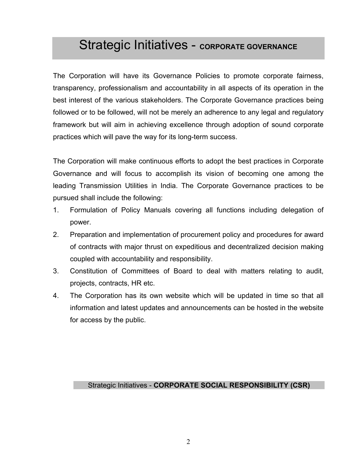## Strategic Initiatives - **CORPORATE GOVERNANCE**

The Corporation will have its Governance Policies to promote corporate fairness, transparency, professionalism and accountability in all aspects of its operation in the best interest of the various stakeholders. The Corporate Governance practices being followed or to be followed, will not be merely an adherence to any legal and regulatory framework but will aim in achieving excellence through adoption of sound corporate practices which will pave the way for its long-term success.

The Corporation will make continuous efforts to adopt the best practices in Corporate Governance and will focus to accomplish its vision of becoming one among the leading Transmission Utilities in India. The Corporate Governance practices to be pursued shall include the following:

- 1. Formulation of Policy Manuals covering all functions including delegation of power.
- 2. Preparation and implementation of procurement policy and procedures for award of contracts with major thrust on expeditious and decentralized decision making coupled with accountability and responsibility.
- 3. Constitution of Committees of Board to deal with matters relating to audit, projects, contracts, HR etc.
- 4. The Corporation has its own website which will be updated in time so that all information and latest updates and announcements can be hosted in the website for access by the public.

#### Strategic Initiatives - **CORPORATE SOCIAL RESPONSIBILITY (CSR)**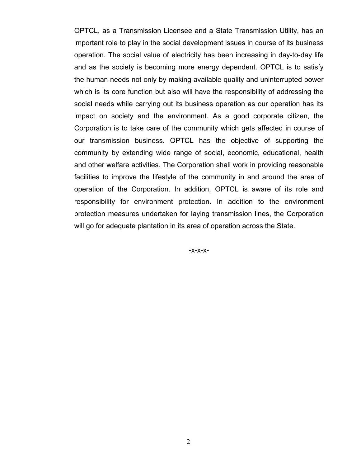OPTCL, as a Transmission Licensee and a State Transmission Utility, has an important role to play in the social development issues in course of its business operation. The social value of electricity has been increasing in day-to-day life and as the society is becoming more energy dependent. OPTCL is to satisfy the human needs not only by making available quality and uninterrupted power which is its core function but also will have the responsibility of addressing the social needs while carrying out its business operation as our operation has its impact on society and the environment. As a good corporate citizen, the Corporation is to take care of the community which gets affected in course of our transmission business. OPTCL has the objective of supporting the community by extending wide range of social, economic, educational, health and other welfare activities. The Corporation shall work in providing reasonable facilities to improve the lifestyle of the community in and around the area of operation of the Corporation. In addition, OPTCL is aware of its role and responsibility for environment protection. In addition to the environment protection measures undertaken for laying transmission lines, the Corporation will go for adequate plantation in its area of operation across the State.

-x-x-x-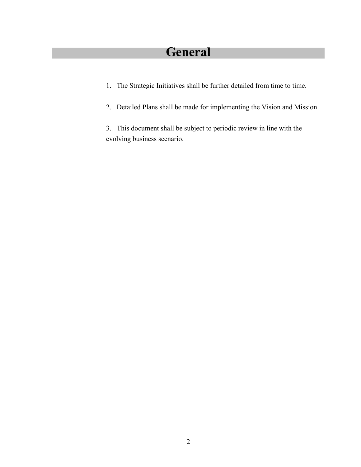# **General**

- 1. The Strategic Initiatives shall be further detailed from time to time.
- 2. Detailed Plans shall be made for implementing the Vision and Mission.

3. This document shall be subject to periodic review in line with the evolving business scenario.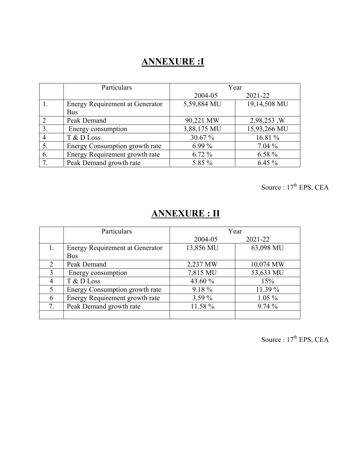## **ANNEXURE :I**

|                | Particulars                            | Year        |              |
|----------------|----------------------------------------|-------------|--------------|
|                |                                        | 2004-05     | 2021-22      |
|                | <b>Energy Requirement at Generator</b> | 5,59,884 MU | 19,14,508 MU |
|                | <b>Bus</b>                             |             |              |
| 2              | Peak Demand                            | 90,221 MW   | 2,98,253, W  |
| $\mathbf{3}$   | Energy consumption                     | 3,88,175 MU | 15,93,266 MU |
| $\overline{4}$ | T & D Loss                             | 30.67 %     | 16.81 %      |
| 5.             | Energy Consumption growth rate         | $6.99\%$    | $7.04\%$     |
| 6.             | Energy Requirement growth rate         | $6.72\%$    | $6.58\%$     |
| 7.             | Peak Demand growth rate                | 5.85 %      | $6.45\%$     |

Source :  $17<sup>th</sup> EPS$ , CEA

## **ANNEXURE : II**

|    | Particulars                            | Year      |           |
|----|----------------------------------------|-----------|-----------|
|    |                                        | 2004-05   | 2021-22   |
|    | <b>Energy Requirement at Generator</b> | 13,856 MU | 63,098 MU |
|    | <b>Bus</b>                             |           |           |
| 2  | Peak Demand                            | 2,237 MW  | 10,074 MW |
| 3  | Energy consumption                     | 7,815 MU  | 53,633 MU |
| 4  | T & D Loss                             | 43.60 %   | 15%       |
| 5  | Energy Consumption growth rate         | 9.18%     | 11.39 %   |
| 6  | Energy Requirement growth rate         | $3.59\%$  | $1.05\%$  |
| 7. | Peak Demand growth rate                | 11.58 %   | 9.74%     |
|    |                                        |           |           |

Source :  $17<sup>th</sup> EPS$ , CEA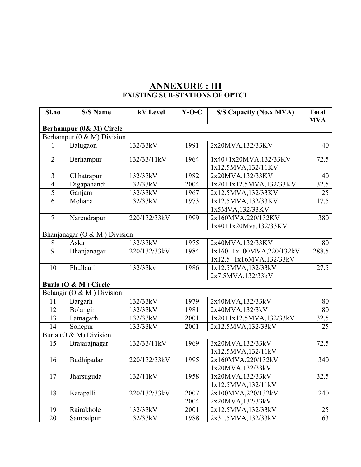#### **ANNEXURE : III EXISTING SUB-STATIONS OF OPTCL**

| Sl.no          | <b>S/S Name</b>               | kV Level     | $Y-O-C$ | <b>S/S Capacity (No.x MVA)</b>              | <b>Total</b><br><b>MVA</b> |
|----------------|-------------------------------|--------------|---------|---------------------------------------------|----------------------------|
|                | Berhampur (0& M) Circle       |              |         |                                             |                            |
|                | Berhampur (0 & M) Division    |              |         |                                             |                            |
| 1              | Balugaon                      | 132/33kV     | 1991    | 2x20MVA,132/33KV                            | 40                         |
| $\overline{2}$ | Berhampur                     | 132/33/11kV  | 1964    | 1x40+1x20MVA,132/33KV<br>1x12.5MVA,132/11KV | 72.5                       |
| $\overline{3}$ | Chhatrapur                    | 132/33kV     | 1982    | 2x20MVA,132/33KV                            | 40                         |
| $\overline{4}$ | Digapahandi                   | 132/33kV     | 2004    | 1x20+1x12.5MVA,132/33KV                     | 32.5                       |
| $\overline{5}$ | Ganjam                        | 132/33kV     | 1967    | 2x12.5MVA,132/33KV                          | 25                         |
| 6              | Mohana                        | 132/33kV     | 1973    | 1x12.5MVA,132/33KV<br>1x5MVA,132/33KV       | 17.5                       |
| $\overline{7}$ | Narendrapur                   | 220/132/33kV | 1999    | 2x160MVA,220/132KV<br>1x40+1x20Mva.132/33KV | 380                        |
|                | Bhanjanagar (O & M ) Division |              |         |                                             |                            |
| $8\,$          | Aska                          | 132/33kV     | 1975    | 2x40MVA,132/33KV                            | 80                         |
| $\overline{9}$ | Bhanjanagar                   | 220/132/33kV | 1984    | 1x160+1x100MVA,220/132kV                    | 288.5                      |
|                |                               |              |         | 1x12.5+1x16MVA,132/33kV                     |                            |
| 10             | Phulbani                      | 132/33kv     | 1986    | 1x12.5MVA,132/33kV                          | 27.5                       |
|                |                               |              |         | 2x7.5MVA,132/33kV                           |                            |
|                | Burla (O & M) Circle          |              |         |                                             |                            |
|                | Bolangir (O & M) Division     |              |         |                                             |                            |
| 11             | Bargarh                       | 132/33kV     | 1979    | 2x40MVA,132/33kV                            | 80                         |
| 12             | Bolangir                      | 132/33kV     | 1981    | 2x40MVA,132/3kV                             | 80                         |
| 13             | Patnagarh                     | 132/33kV     | 2001    | $1x20+1x12.5MVA, 132/33kV$                  | 32.5                       |
| 14             | Sonepur                       | 132/33kV     | 2001    | 2x12.5MVA,132/33kV                          | 25                         |
| Burla (O       | & M) Division                 |              |         |                                             |                            |
| 15             | Brajarajnagar                 | 132/33/11kV  | 1969    | 3x20MVA,132/33kV                            | 72.5                       |
|                |                               | 220/132/33kV |         | 1x12.5MVA,132/11kV                          |                            |
| 16             | Budhipadar                    |              | 1995    | 2x160MVA,220/132kV<br>1x20MVA,132/33kV      | 340                        |
| 17             | Jharsuguda                    | 132/11kV     | 1958    | 1x20MVA,132/33kV                            | 32.5                       |
|                |                               |              |         | 1x12.5MVA,132/11kV                          |                            |
| 18             | Katapalli                     | 220/132/33kV | 2007    | 2x100MVA,220/132kV                          | 240                        |
|                |                               |              | 2004    | 2x20MVA,132/33kV                            |                            |
| 19             | Rairakhole                    | 132/33kV     | 2001    | 2x12.5MVA,132/33kV                          | 25                         |
| 20             | Sambalpur                     | 132/33kV     | 1988    | 2x31.5MVA,132/33kV                          | 63                         |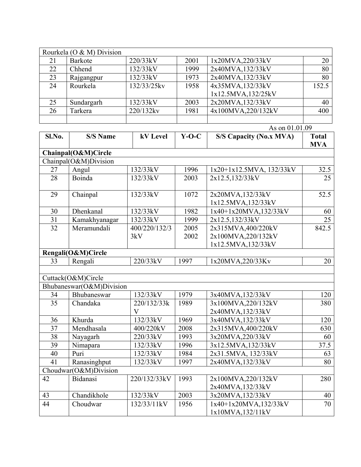|    | Rourkela ( $O & M$ ) Division |              |      |                    |       |
|----|-------------------------------|--------------|------|--------------------|-------|
| 21 | Barkote                       | 220/33kV     | 2001 | 1x20MVA,220/33kV   | 20    |
| 22 | Chhend                        | 132/33kV     | 1999 | 2x40MVA,132/33kV   | 80    |
| 23 | Rajgangpur                    | 132/33kV     | 1973 | 2x40MVA,132/33kV   | 80    |
| 24 | Rourkela                      | 132/33/25kv  | 1958 | 4x35MVA,132/33kV   | 152.5 |
|    |                               |              |      | 1x12.5MVA,132/25kV |       |
| 25 | Sundargarh                    | 132/33kV     | 2003 | 2x20MVA,132/33kV   | 40    |
| 26 | Tarkera                       | $220/132$ kv | 1981 | 4x100MVA,220/132kV | 400   |
|    |                               |              |      |                    |       |

| Sl.No.          | <b>S/S Name</b>          | kV Level      | $Y-O-C$ | <b>S/S Capacity (No.x MVA)</b> | <b>Total</b><br><b>MVA</b> |
|-----------------|--------------------------|---------------|---------|--------------------------------|----------------------------|
|                 | Chainpal(O&M)Circle      |               |         |                                |                            |
|                 | Chainpal(O&M)Division    |               |         |                                |                            |
| 27              | Angul                    | 132/33kV      | 1996    | 1x20+1x12.5MVA, 132/33kV       | 32.5                       |
| 28              | Boinda                   | 132/33kV      | 2003    | 2x12.5,132/33kV                | 25                         |
| 29              | Chainpal                 | 132/33kV      | 1072    | 2x20MVA,132/33kV               | 52.5                       |
|                 |                          |               |         | 1x12.5MVA,132/33kV             |                            |
| 30              | Dhenkanal                | 132/33kV      | 1982    | 1x40+1x20MVA,132/33kV          | 60                         |
| 31              | Kamakhyanagar            | 132/33kV      | 1999    | 2x12.5,132/33kV                | 25                         |
| 32              | Meramundali              | 400/220/132/3 | 2005    | 2x315MVA,400/220kV             | 842.5                      |
|                 |                          | 3kV           | 2002    | 2x100MVA,220/132kV             |                            |
|                 |                          |               |         | 1x12.5MVA,132/33kV             |                            |
|                 | Rengali(O&M)Circle       |               |         |                                |                            |
| 33              | Rengali                  | 220/33kV      | 1997    | 1x20MVA,220/33Kv               | 20                         |
|                 |                          |               |         |                                |                            |
|                 | Cuttack(O&M)Circle       |               |         |                                |                            |
|                 | Bhubaneswar(O&M)Division |               |         |                                |                            |
| 34              | Bhubaneswar              | 132/33kV      | 1979    | 3x40MVA,132/33kV               | 120                        |
| 35              | Chandaka                 | 220/132/33k   | 1989    | 3x100MVA,220/132kV             | 380                        |
|                 |                          | $\mathbf{V}$  |         | 2x40MVA,132/33kV               |                            |
| 36              | Khurda                   | 132/33kV      | 1969    | 3x40MVA,132/33kV               | 120                        |
| $\overline{37}$ | $M$ endhasala            | 400/220kV     | 2008    | 2x315MVA,400/220kV             | 630                        |
| 38              | Nayagarh                 | 220/33kV      | 1993    | 3x20MVA,220/33kV               | 60                         |
| $\overline{39}$ | Nimapara                 | 132/33kV      | 1996    | 3x12.5MVA,132/33kV             | 37.5                       |
| 40              | Puri                     | 132/33kV      | 1984    | 2x31.5MVA, 132/33kV            | 63                         |
| 41              | Ranasinghput             | 132/33kV      | 1997    | 2x40MVA,132/33kV               | 80                         |
|                 | Choudwar(O&M)Division    |               |         |                                |                            |
| 42              | Bidanasi                 | 220/132/33kV  | 1993    | 2x100MVA,220/132kV             | 280                        |
|                 |                          |               |         | 2x40MVA,132/33kV               |                            |
| 43              | Chandikhole              | 132/33kV      | 2003    | 3x20MVA,132/33kV               | 40                         |
| 44              | Choudwar                 | 132/33/11kV   | 1956    | 1x40+1x20MVA,132/33kV          | 70                         |
|                 |                          |               |         | 1x10MVA,132/11kV               |                            |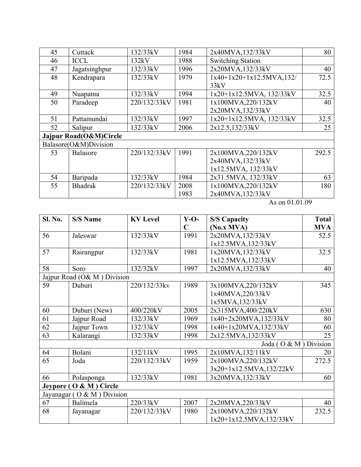| 45 | Cuttack                | 132/33kV     | 1984 | 2x40MVA,132/33kV            | 80    |
|----|------------------------|--------------|------|-----------------------------|-------|
| 46 | <b>ICCL</b>            | 132kV        | 1988 | <b>Switching Station</b>    |       |
| 47 | Jagatsinghpur          | 132/33kV     | 1996 | 2x20MVA,132/33kV            | 40    |
| 48 | Kendrapara             | 132/33kV     | 1979 | $1x40+1x20+1x12.5MVA, 132/$ | 72.5  |
|    |                        |              |      | 33kV                        |       |
| 49 | Nuapatna               | 132/33kV     | 1994 | 1x20+1x12.5MVA, 132/33kV    | 32.5  |
| 50 | Paradeep               | 220/132/33kV | 1981 | 1x100MVA,220/132kV          | 40    |
|    |                        |              |      | 2x20MVA,132/33kV            |       |
| 51 | Pattamundai            | 132/33kV     | 1997 | 1x20+1x12.5MVA, 132/33kV    | 32.5  |
| 52 | Salipur                | 132/33kV     | 2006 | 2x12.5,132/33kV             | 25    |
|    | Jajpur Road(O&M)Circle |              |      |                             |       |
|    | Balasore(O&M)Division  |              |      |                             |       |
| 53 | <b>Balasore</b>        | 220/132/33kV | 1991 | 2x100MVA,220/132kV          | 292.5 |
|    |                        |              |      | 2x40MVA,132/33kV            |       |
|    |                        |              |      | 1x12.5MVA, 132/33kV         |       |
| 54 | Baripada               | 132/33kV     | 1984 | 2x31.5MVA, 132/33kV         | 63    |
| 55 | <b>Bhadrak</b>         | 220/132/33kV | 2008 | 1x100MVA,220/132kV          | 180   |
|    |                        |              | 1983 | 2x40MVA,132/33kV            |       |

| Sl. No.   | <b>S/S Name</b>             | <b>KV</b> Level | $Y-O-$      | <b>S/S Capacity</b>     | <b>Total</b> |
|-----------|-----------------------------|-----------------|-------------|-------------------------|--------------|
|           |                             |                 | $\mathbf C$ | (No.x MVA)              | <b>MVA</b>   |
| 56        | Jaleswar                    | 132/33kV        | 1991        | 2x20MVA,132/33kV        | 52.5         |
|           |                             |                 |             | 1x12.5MVA,132/33kV      |              |
| 57        | Rairangpur                  | 132/33kV        | 1981        | 1x20MVA,132/33kV        | 32.5         |
|           |                             |                 |             | 1x12.5MVA,132/33kV      |              |
| 58        | Soro                        | 132/32kV        | 1997        | 2x20MVA,132/33kV        | 40           |
|           | Jajpur Road (O& M) Division |                 |             |                         |              |
| 59        | Duburi                      | 220/132/33kv    | 1989        | 3x100MVA,220/132kV      | 345          |
|           |                             |                 |             | 1x40MVA,220/33kV        |              |
|           |                             |                 |             | 1x5MVA,132/33kV         |              |
| 60        | Duburi (New)                | 400/220kV       | 2005        | 2x315MVA,400/220kV      | 630          |
| 61        | Jajpur Road                 | 132/33kV        | 1969        | 1x40+2x20MVA,132/33kV   | 80           |
| 62        | Jajpur Town                 | 132/33kV        | 1998        | 1x40+1x20MVA,132/33kV   | 60           |
| 63        | Kalarangi                   | 132/33kV        | 1998        | 2x12.5MVA,132/33kV      | 25           |
|           |                             |                 |             | Joda (O & M ) Division  |              |
| 64        | Bolani                      | 132/11kV        | 1995        | 2x10MVA,132/11kV        | 20           |
| 65        | Joda                        | 220/132/33kV    | 1959        | 2x100MVA,220/132kV      | 272.5        |
|           |                             |                 |             | 3x20+1x12.5MVA,132/22kV |              |
| 66        | Polasponga                  | 132/33kV        | 1981        | 3x20MVA,132/33kV        | 60           |
| Jeypore ( | $O & M$ ) Circle            |                 |             |                         |              |
|           | Jayanagar (O & M) Division  |                 |             |                         |              |
| 67        | Balimela                    | 220/33kV        | 2007        | 2x20MVA,220/33kV        | 40           |
| 68        | Jayanagar                   | 220/132/33kV    | 1980        | 2x100MVA,220/132kV      | 232.5        |
|           |                             |                 |             | 1x20+1x12.5MVA,132/33kV |              |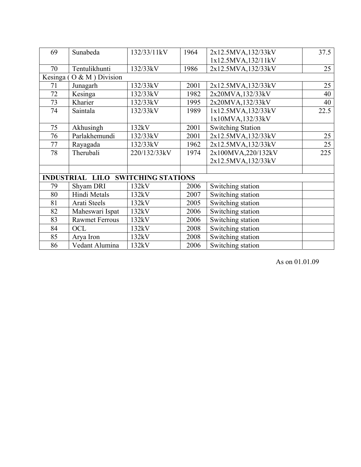| Sunabeda                         | 132/33/11kV  | 1964 | 2x12.5MVA,132/33kV        | 37.5                                                                            |
|----------------------------------|--------------|------|---------------------------|---------------------------------------------------------------------------------|
|                                  |              |      | 1x12.5MVA,132/11kV        |                                                                                 |
| Tentulikhunti                    | 132/33kV     | 1986 | 2x12.5MVA,132/33kV        | 25                                                                              |
| $O & M$ ) Division<br>Kesinga (  |              |      |                           |                                                                                 |
| Junagarh                         | 132/33kV     | 2001 | 2x12.5MVA,132/33kV        | 25                                                                              |
| Kesinga                          | 132/33kV     | 1982 | 2x20MVA,132/33kV          | 40                                                                              |
| Kharier                          | 132/33kV     | 1995 | 2x20MVA,132/33kV          | 40                                                                              |
| Saintala                         | 132/33kV     | 1989 | 1x12.5MVA,132/33kV        | 22.5                                                                            |
|                                  |              |      |                           |                                                                                 |
| Akhusingh                        | 132kV        | 2001 | <b>Switching Station</b>  |                                                                                 |
| Parlakhemundi                    | 132/33kV     | 2001 | 2x12.5MVA,132/33kV        | 25                                                                              |
| Rayagada                         | 132/33kV     | 1962 | 2x12.5MVA,132/33kV        | 25                                                                              |
| Therubali                        | 220/132/33kV | 1974 | 2x100MVA,220/132kV        | 225                                                                             |
|                                  |              |      | 2x12.5MVA,132/33kV        |                                                                                 |
|                                  |              |      |                           |                                                                                 |
| <b>INDUSTRIAL</b><br><b>LILO</b> |              |      |                           |                                                                                 |
| Shyam DRI                        | 132kV        | 2006 | Switching station         |                                                                                 |
| Hindi Metals                     | 132kV        | 2007 |                           |                                                                                 |
| Arati Steels                     | 132kV        | 2005 |                           |                                                                                 |
| Maheswari Ispat                  | 132kV        | 2006 | Switching station         |                                                                                 |
| <b>Rawmet Ferrous</b>            | 132kV        | 2006 | Switching station         |                                                                                 |
| OCL                              | 132kV        | 2008 | Switching station         |                                                                                 |
| Arya Iron                        | 132kV        | 2008 |                           |                                                                                 |
| Vedant Alumina                   | 132kV        | 2006 | Switching station         |                                                                                 |
|                                  |              |      | <b>SWITCHING STATIONS</b> | 1x10MVA,132/33kV<br>Switching station<br>Switching station<br>Switching station |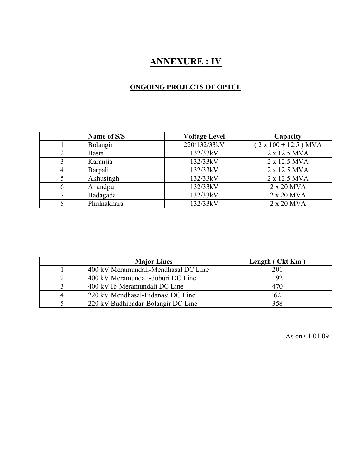## **ANNEXURE : IV**

#### **ONGOING PROJECTS OF OPTCL**

| Name of S/S  | <b>Voltage Level</b> | Capacity                    |
|--------------|----------------------|-----------------------------|
| Bolangir     | 220/132/33kV         | $(2 \times 100 + 12.5)$ MVA |
| <b>Basta</b> | 132/33kV             | 2 x 12.5 MVA                |
| Karanjia     | 132/33kV             | 2 x 12.5 MVA                |
| Barpali      | 132/33kV             | 2 x 12.5 MVA                |
| Akhusingh    | 132/33kV             | 2 x 12.5 MVA                |
| Anandpur     | 132/33kV             | 2 x 20 MVA                  |
| Badagada     | 132/33kV             | 2 x 20 MVA                  |
| Phulnakhara  | 132/33kV             | 2 x 20 MVA                  |

| <b>Major Lines</b>                   | Length (Ckt Km) |
|--------------------------------------|-----------------|
| 400 kV Meramundali-Mendhasal DC Line | 201             |
| 400 kV Meramundali-duburi DC Line    | 192             |
| 400 kV Ib-Meramundali DC Line        | 470             |
| 220 kV Mendhasal-Bidanasi DC Line    |                 |
| 220 kV Budhipadar-Bolangir DC Line   | 358             |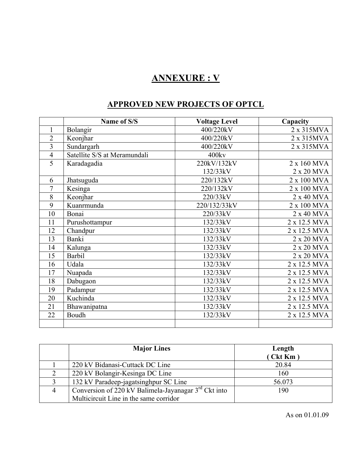## **ANNEXURE : V**

#### **APPROVED NEW PROJECTS OF OPTCL**

|                | Name of S/S                  | <b>Voltage Level</b> | Capacity     |
|----------------|------------------------------|----------------------|--------------|
| $\mathbf{1}$   | Bolangir                     | 400/220kV            | 2 x 315MVA   |
| $\overline{2}$ | Keonjhar                     | 400/220kV            | 2 x 315MVA   |
| $\overline{3}$ | Sundargarh                   | 400/220kV            | 2 x 315MVA   |
| $\overline{4}$ | Satellite S/S at Meramundali | 400kv                |              |
| $\overline{5}$ | Karadagadia                  | 220kV/132kV          | 2 x 160 MVA  |
|                |                              | 132/33kV             | 2 x 20 MVA   |
| 6              | Jhatsuguda                   | 220/132kV            | 2 x 100 MVA  |
| $\overline{7}$ | Kesinga                      | 220/132kV            | 2 x 100 MVA  |
| 8              | Keonjhar                     | 220/33kV             | 2 x 40 MVA   |
| 9              | Kuanrmunda                   | 220/132/33kV         | 2 x 100 MVA  |
| 10             | Bonai                        | 220/33kV             | 2 x 40 MVA   |
| 11             | Purushottampur               | 132/33kV             | 2 x 12.5 MVA |
| 12             | Chandpur                     | 132/33kV             | 2 x 12.5 MVA |
| 13             | Banki                        | 132/33kV             | 2 x 20 MVA   |
| 14             | Kalunga                      | 132/33kV             | 2 x 20 MVA   |
| 15             | Barbil                       | 132/33kV             | 2 x 20 MVA   |
| 16             | Udala                        | 132/33kV             | 2 x 12.5 MVA |
| 17             | Nuapada                      | 132/33kV             | 2 x 12.5 MVA |
| 18             | Dabugaon                     | 132/33kV             | 2 x 12.5 MVA |
| 19             | Padampur                     | 132/33kV             | 2 x 12.5 MVA |
| 20             | Kuchinda                     | 132/33kV             | 2 x 12.5 MVA |
| 21             | Bhawanipatna                 | 132/33kV             | 2 x 12.5 MVA |
| 22             | Boudh                        | 132/33kV             | 2 x 12.5 MVA |
|                |                              |                      |              |

| <b>Major Lines</b>                                     | Length<br>(Ckt Km) |
|--------------------------------------------------------|--------------------|
| 220 kV Bidanasi-Cuttack DC Line                        | 20.84              |
| 220 kV Bolangir-Kesinga DC Line                        | 160                |
| 132 kV Paradeep-jagatsinghpur SC Line                  | 56.073             |
| Conversion of 220 kV Balimela-Jayanagar $3rd$ Ckt into | 190                |
| Multicircuit Line in the same corridor                 |                    |